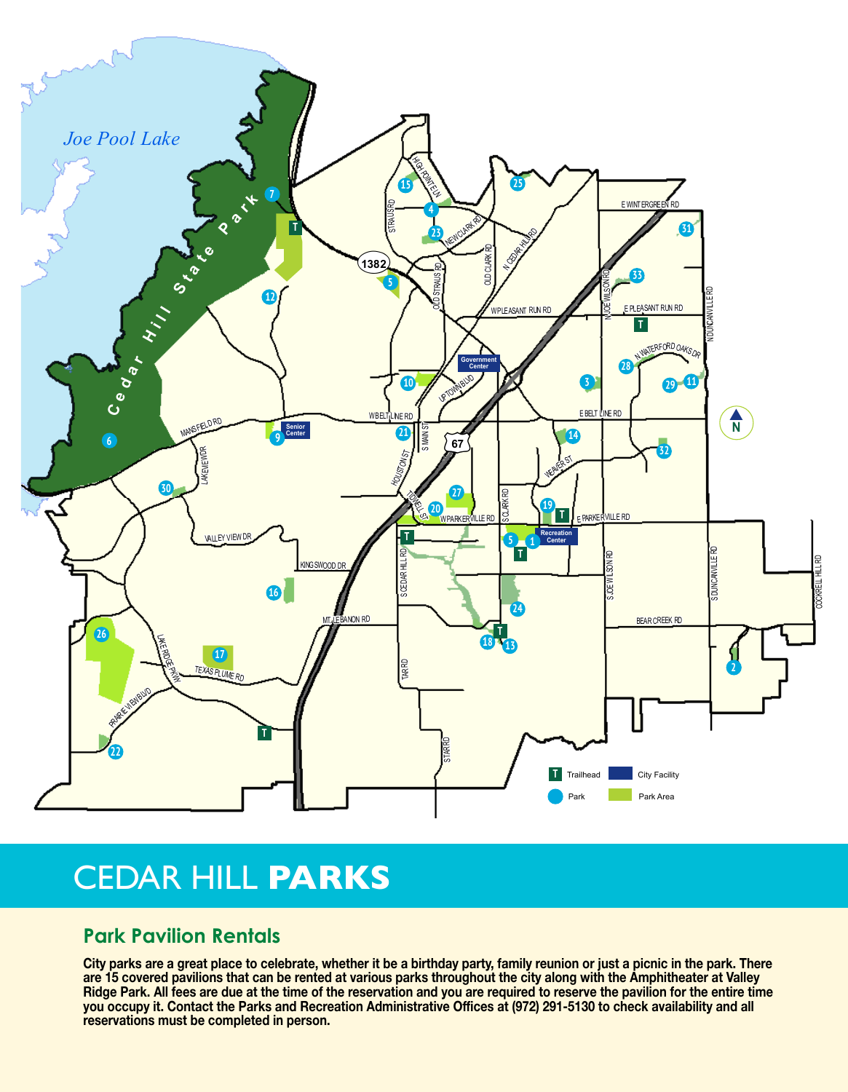

## CEDAR HILL **PARKS**

## **Park Pavilion Rentals**

**City parks are a great place to celebrate, whether it be a birthday party, family reunion or just a picnic in the park. There are 15 covered pavilions that can be rented at various parks throughout the city along with the Amphitheater at Valley Ridge Park. All fees are due at the time of the reservation and you are required to reserve the pavilion for the entire time you occupy it. Contact the Parks and Recreation Administrative Offices at (972) 291-5130 to check availability and all reservations must be completed in person.**